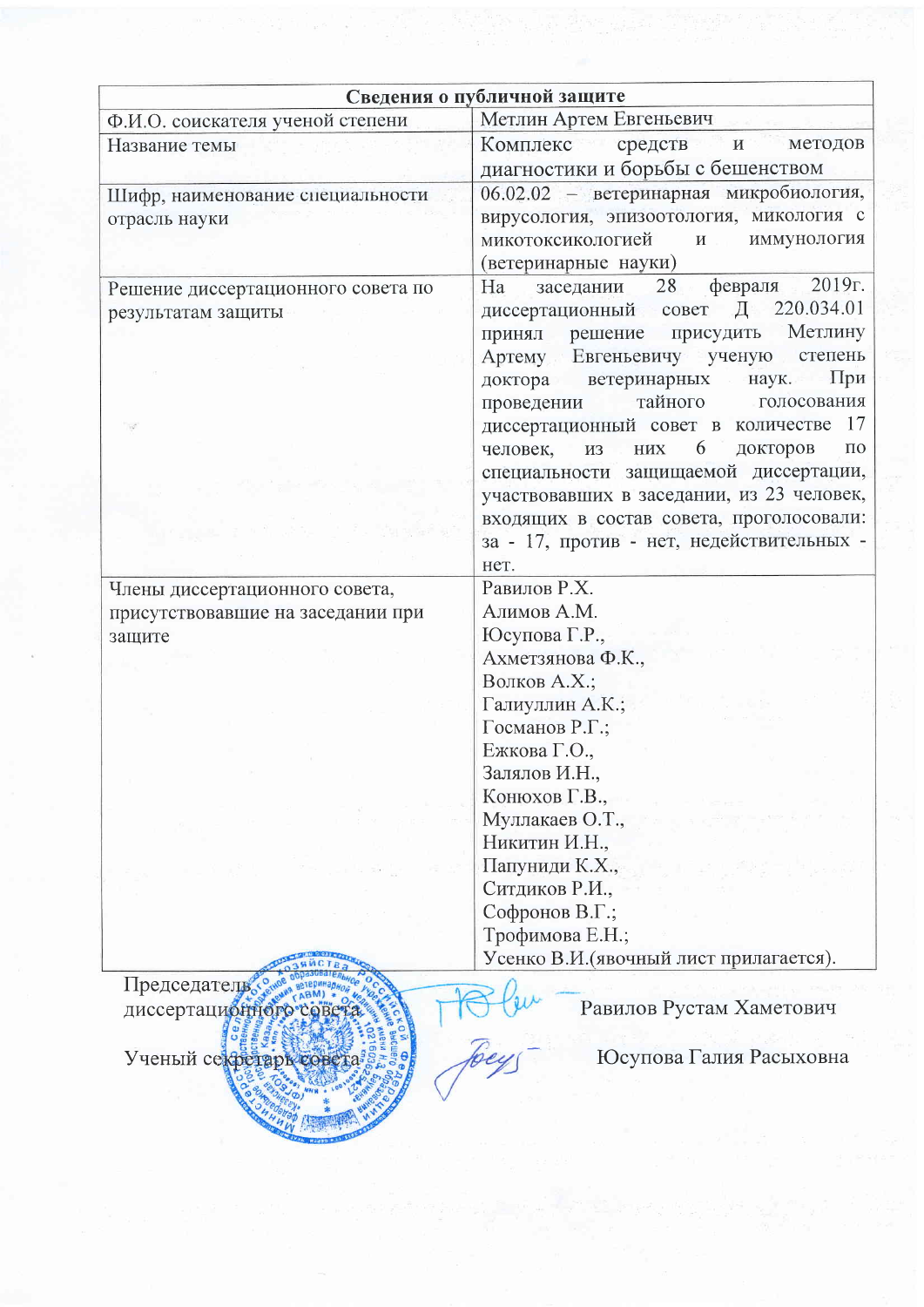|                                                                               | Сведения о публичной защите                                                                                                                                                                                                                                                                                                                                                                                                                                                                                                                               |  |  |  |
|-------------------------------------------------------------------------------|-----------------------------------------------------------------------------------------------------------------------------------------------------------------------------------------------------------------------------------------------------------------------------------------------------------------------------------------------------------------------------------------------------------------------------------------------------------------------------------------------------------------------------------------------------------|--|--|--|
| Ф.И.О. соискателя ученой степени                                              | Метлин Артем Евгеньевич                                                                                                                                                                                                                                                                                                                                                                                                                                                                                                                                   |  |  |  |
| Название темы                                                                 | Комплекс средств<br>методов<br>$\mathbf{N}$<br>диагностики и борьбы с бешенством                                                                                                                                                                                                                                                                                                                                                                                                                                                                          |  |  |  |
| Шифр, наименование специальности<br>отрасль науки                             | 06.02.02 - ветеринарная микробиология,<br>вирусология, эпизоотология, микология с<br>микотоксикологией<br>$\mathbf{M}$<br>иммунология<br>(ветеринарные науки)                                                                                                                                                                                                                                                                                                                                                                                             |  |  |  |
| Решение диссертационного совета по<br>результатам защиты                      | 2019r.<br>28 февраля<br>Ha<br>заседании<br>Д 220.034.01<br>диссертационный совет<br>Метлину<br>принял решение присудить<br>Артему Евгеньевичу ученую<br>степень<br>доктора ветеринарных<br>наук.<br>При<br>тайного<br>голосования<br>проведении<br>диссертационный совет в количестве 17<br>6 <sup>1</sup><br>докторов<br>человек,<br>из них<br>$\Pi$ <sup>O</sup><br>специальности защищаемой диссертации,<br>участвовавших в заседании, из 23 человек,<br>входящих в состав совета, проголосовали:<br>за - 17, против - нет, недействительных -<br>нет. |  |  |  |
| Члены диссертационного совета,<br>присутствовавшие на заседании при<br>защите | Равилов Р.Х.<br>Алимов А.М.<br>Юсупова Г.Р.,<br>Ахметзянова Ф.К.,<br>Волков А.Х.;<br>Галиуллин А.К.;<br>Госманов Р.Г.;<br>Ежкова Г.О.,<br>Залялов И.Н.,<br>Конюхов Г.В.,<br>Муллакаев О.Т.,<br>Никитин И.Н.,<br>Папуниди К.Х.,<br>Ситдиков Р.И.,<br>Софронов В.Г.;                                                                                                                                                                                                                                                                                        |  |  |  |
| Председатель<br>диссертационного<br>Ученый секретарь                          | Трофимова Е.Н.;<br>Усенко В.И. (явочный лист прилагается).<br>Равилов Рустам Хаметович<br>Юсупова Галия Расыховна                                                                                                                                                                                                                                                                                                                                                                                                                                         |  |  |  |

 $\frac{1}{\left(1-\frac{1}{2}\right)^{2}}\left(1-\frac{1}{2}\right)^{2}e^{-\frac{1}{2}\left(1-\frac{1}{2}\right)}\left(\frac{1}{2}\right)^{2}e^{-\frac{1}{2}\left(1-\frac{1}{2}\right)}\left(\frac{1}{2}\right)^{2}e^{-\frac{1}{2}\left(1-\frac{1}{2}\right)}\left(\frac{1}{2}\right)^{2}e^{-\frac{1}{2}\left(1-\frac{1}{2}\right)}\left(\frac{1}{2}\right)^{2}$ 

HANN HOTEL